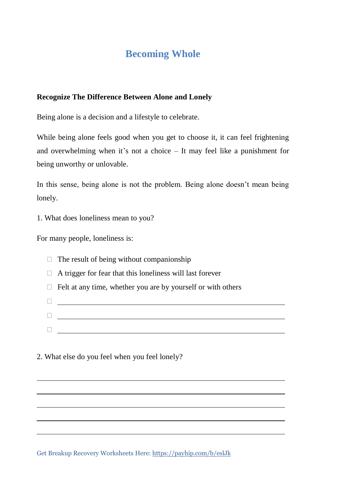# **Becoming Whole**

### **Recognize The Difference Between Alone and Lonely**

Being alone is a decision and a lifestyle to celebrate.

While being alone feels good when you get to choose it, it can feel frightening and overwhelming when it's not a choice – It may feel like a punishment for being unworthy or unlovable.

In this sense, being alone is not the problem. Being alone doesn't mean being lonely.

1. What does loneliness mean to you?

For many people, loneliness is:

| $\Box$ The result of being without companionship                 |
|------------------------------------------------------------------|
| $\Box$ A trigger for fear that this loneliness will last forever |
| Felt at any time, whether you are by yourself or with others     |
|                                                                  |
|                                                                  |
|                                                                  |

2. What else do you feel when you feel lonely?

Get Breakup Recovery Worksheets Here: https://payhip.com/b/eslJk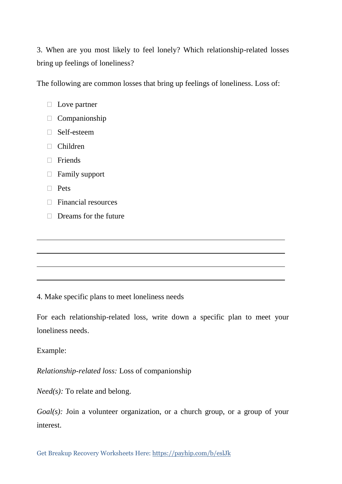3. When are you most likely to feel lonely? Which relationship-related losses bring up feelings of loneliness?

The following are common losses that bring up feelings of loneliness. Loss of:

- $\Box$  Love partner
- $\Box$  Companionship
- □ Self-esteem
- Children
- Friends
- $\Box$  Family support
- D Pets
- $\Box$  Financial resources
- $\Box$  Dreams for the future

4. Make specific plans to meet loneliness needs

For each relationship-related loss, write down a specific plan to meet your loneliness needs.

#### Example:

*Relationship-related loss:* Loss of companionship

*Need(s)*: To relate and belong.

*Goal(s)*: Join a volunteer organization, or a church group, or a group of your interest.

Get Breakup Recovery Worksheets Here: https://payhip.com/b/eslJk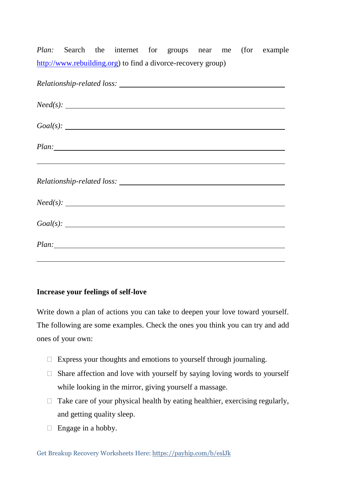*Plan:* Search the internet for groups near me (for example [http://www.rebuilding.org\)](http://www.rebuilding.org/) to find a divorce-recovery group)

| Need(s):                                                    |
|-------------------------------------------------------------|
| Goal(s):                                                    |
|                                                             |
|                                                             |
| <u> 1999 - Johann Stoff, amerikansk politiker (d. 1989)</u> |
|                                                             |
|                                                             |
| Need(s):                                                    |
|                                                             |
|                                                             |
|                                                             |
|                                                             |

#### **Increase your feelings of self-love**

Write down a plan of actions you can take to deepen your love toward yourself. The following are some examples. Check the ones you think you can try and add ones of your own:

- $\Box$  Express your thoughts and emotions to yourself through journaling.
- $\Box$  Share affection and love with yourself by saying loving words to yourself while looking in the mirror, giving yourself a massage.
- $\Box$  Take care of your physical health by eating healthier, exercising regularly, and getting quality sleep.
- $\Box$  Engage in a hobby.